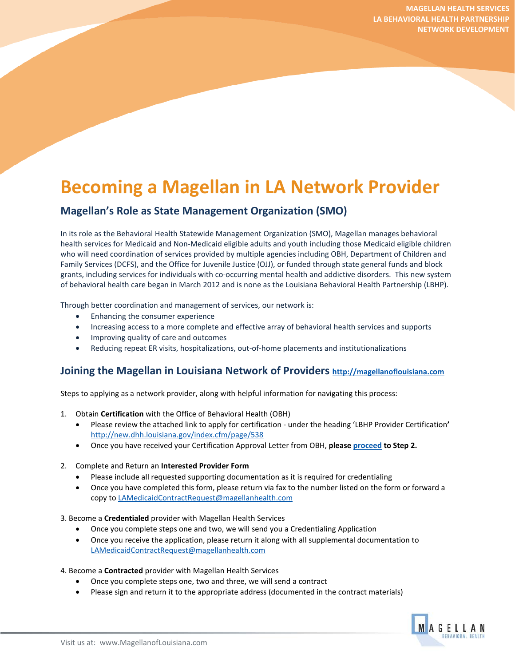# **Becoming a Magellan in LA Network Provider**

## **Magellan's Role as State Management Organization (SMO)**

In its role as the Behavioral Health Statewide Management Organization (SMO), Magellan manages behavioral health services for Medicaid and Non-Medicaid eligible adults and youth including those Medicaid eligible children who will need coordination of services provided by multiple agencies including OBH, Department of Children and Family Services (DCFS), and the Office for Juvenile Justice (OJJ), or funded through state general funds and block grants, including services for individuals with co-occurring mental health and addictive disorders. This new system of behavioral health care began in March 2012 and is none as the Louisiana Behavioral Health Partnership (LBHP).

Through better coordination and management of services, our network is:

- Enhancing the consumer experience
- Increasing access to a more complete and effective array of behavioral health services and supports
- Improving quality of care and outcomes
- Reducing repeat ER visits, hospitalizations, out-of-home placements and institutionalizations

## **Joining the Magellan in Louisiana Network of Providers [http://magellanoflouisiana.com](http://magellanoflouisiana.com/)**

Steps to applying as a network provider, along with helpful information for navigating this process:

- 1. Obtain **Certification** with the Office of Behavioral Health (OBH)
	- Please review the attached link to apply for certification under the heading 'LBHP Provider Certification**'**  <http://new.dhh.louisiana.gov/index.cfm/page/538>
	- Once you have received your Certification Approval Letter from OBH, **please [proceed](mailto:proceed) to Step 2.**

## 2. Complete and Return an **Interested Provider Form**

- Please include all requested supporting documentation as it is required for credentialing
- Once you have completed this form, please return via fax to the number listed on the form or forward a copy t[o LAMedicaidContractRequest@magellanhealth.com](mailto:LAMedicaidContractRequest@magellanhealth.com)
- 3. Become a **Credentialed** provider with Magellan Health Services
	- Once you complete steps one and two, we will send you a Credentialing Application
	- Once you receive the application, please return it along with all supplemental documentation to [LAMedicaidContractRequest@magellanhealth.com](mailto:LAMedicaidContractRequest@magellanhealth.com)

## 4. Become a **Contracted** provider with Magellan Health Services

- Once you complete steps one, two and three, we will send a contract
- Please sign and return it to the appropriate address (documented in the contract materials)

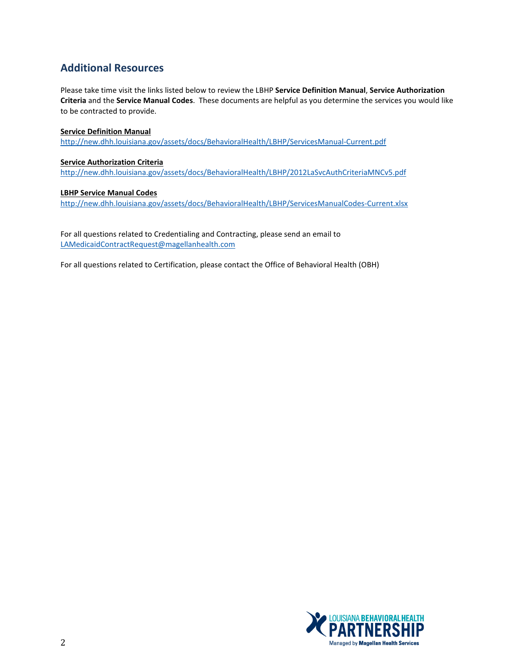# **Additional Resources**

Please take time visit the links listed below to review the LBHP **Service Definition Manual**, **Service Authorization Criteria** and the **Service Manual Codes**. These documents are helpful as you determine the services you would like to be contracted to provide.

## **Service Definition Manual**

<http://new.dhh.louisiana.gov/assets/docs/BehavioralHealth/LBHP/ServicesManual-Current.pdf>

#### **Service Authorization Criteria**

<http://new.dhh.louisiana.gov/assets/docs/BehavioralHealth/LBHP/2012LaSvcAuthCriteriaMNCv5.pdf>

#### **LBHP Service Manual Codes**

<http://new.dhh.louisiana.gov/assets/docs/BehavioralHealth/LBHP/ServicesManualCodes-Current.xlsx>

For all questions related to Credentialing and Contracting, please send an email to [LAMedicaidContractRequest@magellanhealth.com](mailto:LAMedicaidContractRequest@magellanhealth.com)

For all questions related to Certification, please contact the Office of Behavioral Health (OBH)